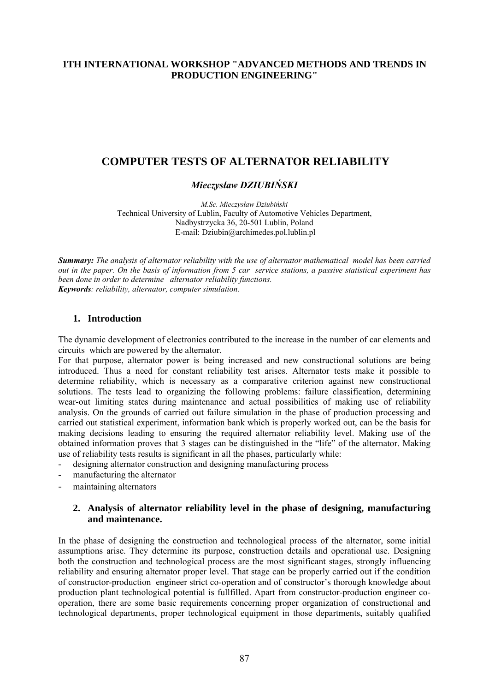### **1TH INTERNATIONAL WORKSHOP "ADVANCED METHODS AND TRENDS IN PRODUCTION ENGINEERING"**

# **COMPUTER TESTS OF ALTERNATOR RELIABILITY**

#### *Mieczysław DZIUBIŃSKI*

*M.Sc. Mieczysław Dziubiński*  Technical University of Lublin, Faculty of Automotive Vehicles Department, Nadbystrzycka 36, 20-501 Lublin, Poland E-mail: [Dziubin@archimedes.pol.lublin.pl](mailto:Dziubin@archimedes.pol.lublin.pl)

*Summary: The analysis of alternator reliability with the use of alternator mathematical model has been carried out in the paper. On the basis of information from 5 car service stations, a passive statistical experiment has been done in order to determine alternator reliability functions. Keywords: reliability, alternator, computer simulation.*

#### **1. Introduction**

The dynamic development of electronics contributed to the increase in the number of car elements and circuits which are powered by the alternator.

For that purpose, alternator power is being increased and new constructional solutions are being introduced. Thus a need for constant reliability test arises. Alternator tests make it possible to determine reliability, which is necessary as a comparative criterion against new constructional solutions. The tests lead to organizing the following problems: failure classification, determining wear-out limiting states during maintenance and actual possibilities of making use of reliability analysis. On the grounds of carried out failure simulation in the phase of production processing and carried out statistical experiment, information bank which is properly worked out, can be the basis for making decisions leading to ensuring the required alternator reliability level. Making use of the obtained information proves that 3 stages can be distinguished in the "life" of the alternator. Making use of reliability tests results is significant in all the phases, particularly while:

- designing alternator construction and designing manufacturing process
- manufacturing the alternator
- maintaining alternators

#### **2. Analysis of alternator reliability level in the phase of designing, manufacturing and maintenance.**

In the phase of designing the construction and technological process of the alternator, some initial assumptions arise. They determine its purpose, construction details and operational use. Designing both the construction and technological process are the most significant stages, strongly influencing reliability and ensuring alternator proper level. That stage can be properly carried out if the condition of constructor-production engineer strict co-operation and of constructor's thorough knowledge about production plant technological potential is fullfilled. Apart from constructor-production engineer cooperation, there are some basic requirements concerning proper organization of constructional and technological departments, proper technological equipment in those departments, suitably qualified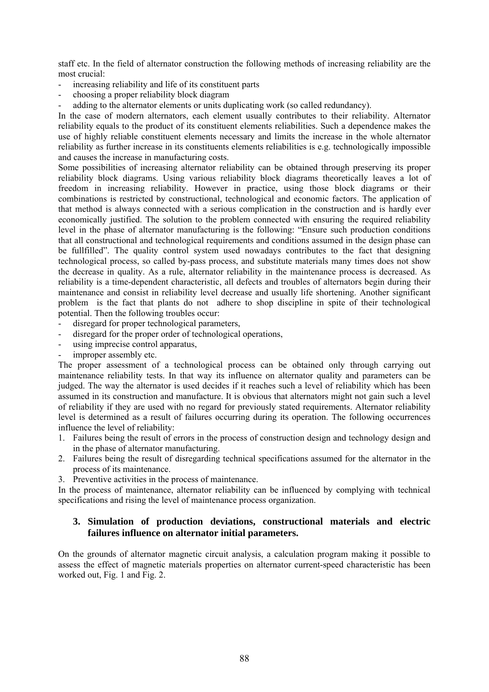staff etc. In the field of alternator construction the following methods of increasing reliability are the most crucial:

- increasing reliability and life of its constituent parts
- choosing a proper reliability block diagram
- adding to the alternator elements or units duplicating work (so called redundancy).

In the case of modern alternators, each element usually contributes to their reliability. Alternator reliability equals to the product of its constituent elements reliabilities. Such a dependence makes the use of highly reliable constituent elements necessary and limits the increase in the whole alternator reliability as further increase in its constituents elements reliabilities is e.g. technologically impossible and causes the increase in manufacturing costs.

Some possibilities of increasing alternator reliability can be obtained through preserving its proper reliability block diagrams. Using various reliability block diagrams theoretically leaves a lot of freedom in increasing reliability. However in practice, using those block diagrams or their combinations is restricted by constructional, technological and economic factors. The application of that method is always connected with a serious complication in the construction and is hardly ever economically justified. The solution to the problem connected with ensuring the required reliability level in the phase of alternator manufacturing is the following: "Ensure such production conditions that all constructional and technological requirements and conditions assumed in the design phase can be fullfilled". The quality control system used nowadays contributes to the fact that designing technological process, so called by-pass process, and substitute materials many times does not show the decrease in quality. As a rule, alternator reliability in the maintenance process is decreased. As reliability is a time-dependent characteristic, all defects and troubles of alternators begin during their maintenance and consist in reliability level decrease and usually life shortening. Another significant problem is the fact that plants do not adhere to shop discipline in spite of their technological potential. Then the following troubles occur:

- disregard for proper technological parameters,
- disregard for the proper order of technological operations,
- using imprecise control apparatus,
- improper assembly etc.

The proper assessment of a technological process can be obtained only through carrying out maintenance reliability tests. In that way its influence on alternator quality and parameters can be judged. The way the alternator is used decides if it reaches such a level of reliability which has been assumed in its construction and manufacture. It is obvious that alternators might not gain such a level of reliability if they are used with no regard for previously stated requirements. Alternator reliability level is determined as a result of failures occurring during its operation. The following occurrences influence the level of reliability:

- 1. Failures being the result of errors in the process of construction design and technology design and in the phase of alternator manufacturing.
- 2. Failures being the result of disregarding technical specifications assumed for the alternator in the process of its maintenance.
- 3. Preventive activities in the process of maintenance.

In the process of maintenance, alternator reliability can be influenced by complying with technical specifications and rising the level of maintenance process organization.

#### **3. Simulation of production deviations, constructional materials and electric failures influence on alternator initial parameters.**

On the grounds of alternator magnetic circuit analysis, a calculation program making it possible to assess the effect of magnetic materials properties on alternator current-speed characteristic has been worked out, Fig. 1 and Fig. 2.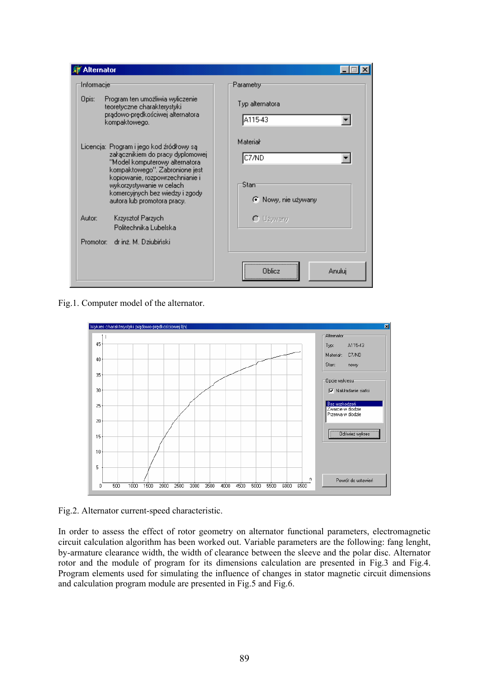

Fig.1. Computer model of the alternator.



Fig.2. Alternator current-speed characteristic.

In order to assess the effect of rotor geometry on alternator functional parameters, electromagnetic circuit calculation algorithm has been worked out. Variable parameters are the following: fang lenght, by-armature clearance width, the width of clearance between the sleeve and the polar disc. Alternator rotor and the module of program for its dimensions calculation are presented in Fig.3 and Fig.4. Program elements used for simulating the influence of changes in stator magnetic circuit dimensions and calculation program module are presented in Fig.5 and Fig.6.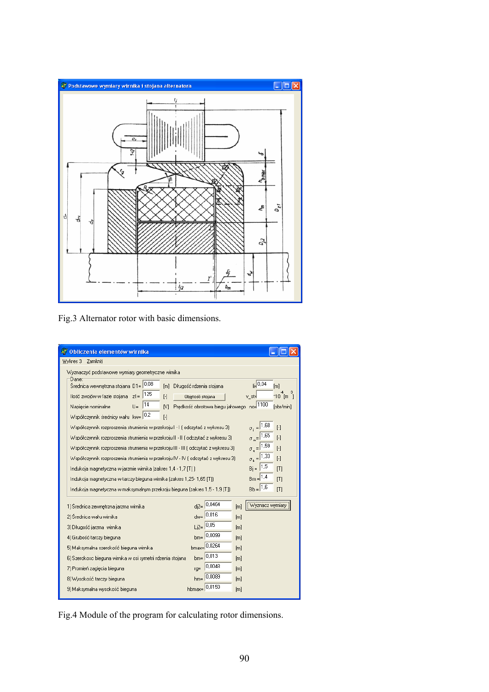

Fig.3 Alternator rotor with basic dimensions.

| <b>AV</b> Obliczenia elementów wirnika                                                                                                                                                                                                                                                                                                                                                                                                                                                                                                                                                                                                                                                                                                                                                                                                                                                                                                                                                                                                                                                                       |                                           |  |  |  |  |  |  |  |
|--------------------------------------------------------------------------------------------------------------------------------------------------------------------------------------------------------------------------------------------------------------------------------------------------------------------------------------------------------------------------------------------------------------------------------------------------------------------------------------------------------------------------------------------------------------------------------------------------------------------------------------------------------------------------------------------------------------------------------------------------------------------------------------------------------------------------------------------------------------------------------------------------------------------------------------------------------------------------------------------------------------------------------------------------------------------------------------------------------------|-------------------------------------------|--|--|--|--|--|--|--|
| Zamknij<br>Wykres 3                                                                                                                                                                                                                                                                                                                                                                                                                                                                                                                                                                                                                                                                                                                                                                                                                                                                                                                                                                                                                                                                                          |                                           |  |  |  |  |  |  |  |
| Wyznaczyć podstawowe wymiary geometryczne wirnika                                                                                                                                                                                                                                                                                                                                                                                                                                                                                                                                                                                                                                                                                                                                                                                                                                                                                                                                                                                                                                                            |                                           |  |  |  |  |  |  |  |
| Dane:<br>$_{\text{li}}$ 0.04<br> 0,08 <br>Średnica wewnętrzna stojana D1=<br>Długość rdzenia stojana<br>[m]<br>[ <sub>m</sub> ]<br>125<br>Ilość zwojów w fazie stojana<br>$z1 =$<br>$[\cdot]$<br>$*10$ [m<br>Objętość stojana<br>v_st∍l<br>Prędkość obrotowa biegu jałowego no=1100<br> 14<br>$U =$<br>Napiecie nominalne<br>M<br>[obr/min]<br>0,2<br>Współczynnik średnicy wału kw=<br>$[\cdot]$<br>$\sigma_{i} = 1.68$<br>Współczynnik rozproszenia strumienia w przekroju I - I J odczytać z wykresu 3).<br>$\lceil \cdot \rceil$<br>$\sigma_m = 1.65$<br>Współczynnik rozproszenia strumienia w przekroju II - II ( odczytać z wykresu 3).<br>$[\cdot]$<br>$\sigma$ <sub>3</sub> = 1.59<br>Współczynnik rozproszenia strumienia w przekroju III - III ( odczytać z wykresu 3)<br>$[\cdot]$<br>$\sigma_{k} = 1.33$<br>Współczynnik rozproszenia strumienia w przekroju IV - IV ( odczytać z wykresu 3)<br>$[\cdot]$<br>$Bj = 1.5$<br>Indukcja magnetyczna w jarzmie wirnika (zakres 1,4 - 1,7 [T] ]<br>[T]<br>$Bm = 1.4$<br>Indukcja magnetyczna w tarczy bieguna wirnika (zakres 1,25- 1,65 [T]).<br>[T] |                                           |  |  |  |  |  |  |  |
| $Bb = 1.6$<br>Indukcja magnetyczna w maksymalnym przekroju bieguna (zakres 1,5 - 1,9 [T])<br>[T]                                                                                                                                                                                                                                                                                                                                                                                                                                                                                                                                                                                                                                                                                                                                                                                                                                                                                                                                                                                                             |                                           |  |  |  |  |  |  |  |
| 1) Średnica zewnętrzna jarzma wirnika                                                                                                                                                                                                                                                                                                                                                                                                                                                                                                                                                                                                                                                                                                                                                                                                                                                                                                                                                                                                                                                                        | $di2 = 0.0464$<br>Wyznacz wymiary<br>[m]  |  |  |  |  |  |  |  |
| 2) Średnica wału wirnika                                                                                                                                                                                                                                                                                                                                                                                                                                                                                                                                                                                                                                                                                                                                                                                                                                                                                                                                                                                                                                                                                     | $_{\text{dw=}}$ 0.016<br>[ <sub>m</sub> ] |  |  |  |  |  |  |  |
| 3) Długość jarzma wirnika                                                                                                                                                                                                                                                                                                                                                                                                                                                                                                                                                                                                                                                                                                                                                                                                                                                                                                                                                                                                                                                                                    | $Li2 = 0.05$<br>[ <sub>m</sub> ]          |  |  |  |  |  |  |  |
| 4) Grubość tarczy bieguna                                                                                                                                                                                                                                                                                                                                                                                                                                                                                                                                                                                                                                                                                                                                                                                                                                                                                                                                                                                                                                                                                    | $bm = 0.0099$<br>[m]                      |  |  |  |  |  |  |  |
| 5) Maksymalna szerokość bieguna wirnika                                                                                                                                                                                                                                                                                                                                                                                                                                                                                                                                                                                                                                                                                                                                                                                                                                                                                                                                                                                                                                                                      | $b$ max= $0.0264$<br>[m]                  |  |  |  |  |  |  |  |
| 6) Szerokosc bieguna wirnika w osi symetrii rdzenia stojana.                                                                                                                                                                                                                                                                                                                                                                                                                                                                                                                                                                                                                                                                                                                                                                                                                                                                                                                                                                                                                                                 | $bm = 0.013$<br>[m]                       |  |  |  |  |  |  |  |
| 7) Promień zagięcia bieguna<br>$IQ =$                                                                                                                                                                                                                                                                                                                                                                                                                                                                                                                                                                                                                                                                                                                                                                                                                                                                                                                                                                                                                                                                        | 0,0048<br>[m]                             |  |  |  |  |  |  |  |
| 8) Wysokość tarczy bieguna                                                                                                                                                                                                                                                                                                                                                                                                                                                                                                                                                                                                                                                                                                                                                                                                                                                                                                                                                                                                                                                                                   | $hm = 0.0089$<br>[m]                      |  |  |  |  |  |  |  |
| hbmax=<br>9) Maksymalna wysokość bieguna                                                                                                                                                                                                                                                                                                                                                                                                                                                                                                                                                                                                                                                                                                                                                                                                                                                                                                                                                                                                                                                                     | 0.0159<br>[m]                             |  |  |  |  |  |  |  |

Fig.4 Module of the program for calculating rotor dimensions.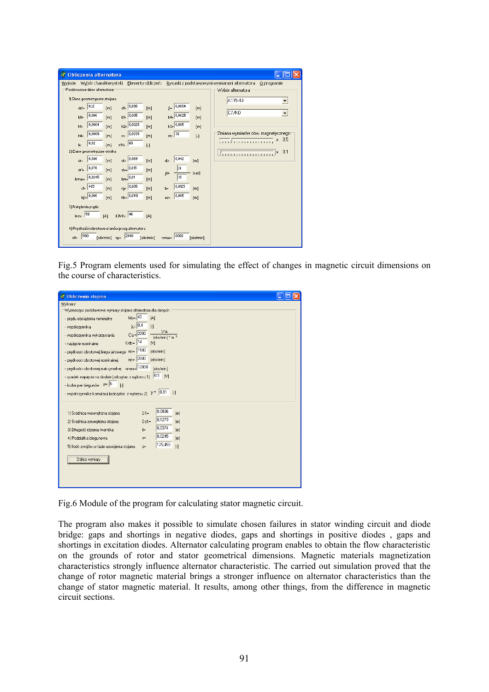| Obliczenia alternatora       |                       |                                                |                    |                   |                       |                                                                     |
|------------------------------|-----------------------|------------------------------------------------|--------------------|-------------------|-----------------------|---------------------------------------------------------------------|
| Wyjscie                      | Wybór charakterystyki |                                                | Elementy obliczeń: |                   |                       | Rysunki z podstawowymi wymiarami alternatora<br>O programie         |
| Podstawowe dane alternatora  |                       |                                                |                    |                   |                       | Wybór alternatora                                                   |
| 1) Dane geometryczne stojana |                       |                                                |                    |                   |                       | A115-43                                                             |
| 0,12<br>dz1z                 | [m]                   | $dt = 0.086$                                   | [m]                | $\delta = 0.0004$ | [m]                   |                                                                     |
| 0,006<br>b0z                 | [m]                   | $b1 = 0.005$                                   | [m]                | $b4 = 0,0025$     | [m]                   | C7/ND                                                               |
| $h1=$                        | 0,0004<br>[m]         | $h2 = 0.0025$                                  | [m]                | $h3 = 0.005$      | [m]                   |                                                                     |
| $h4=$                        | 0,0009<br>[m]         | 0,0035 <br>$c =$                               | [m]                | 36                | $\lceil \cdot \rceil$ | Zmiana wymiarów obw. magnetycznego <sup>.</sup><br>x 0.5            |
| 0,02<br>$\mathbf{li}$        | [m]                   | 60<br>$2111 =$                                 | $[\cdot]$          |                   |                       | .                                                                   |
| 2) Dane geometryczne wirnika |                       |                                                |                    |                   |                       | 0.1<br>×.<br>فأربطه والمتكرم المتكمر كمراجع كمنا وبكمرا ويكمر المكر |
| 0,086<br>$dr =$              | [m]                   | $dt = 0.069$                                   | [m]                | 0,042<br>dj=      | [m]                   |                                                                     |
| 0,076<br>dr1z                | [m]                   | $dw = 0.015$                                   | [m]                | п<br>$\beta$ =    | [rad]                 |                                                                     |
| bmaxe.                       | 0,0245<br>[m]         | $bm_{\rm s}$ 0.01                              | [m]                | 18                |                       |                                                                     |
| 485<br>z1z                   | [m]                   | $rg = 0.005$                                   | [m]                | 0,0125<br>$b =$   | [m]                   |                                                                     |
| $hil = 0.006$                | [m]                   | $h$ k= $ 0,0118$                               | [m]                | 0,005<br>es=      | [m]                   |                                                                     |
| 3) Natężenia prądu           |                       |                                                |                    |                   |                       |                                                                     |
| 58<br>$Ino=$                 | [A]                   | <b>IDN11=</b> 46                               | [A]                |                   |                       |                                                                     |
|                              |                       | 4) Predkości obrotowe stanów pracy alternatora |                    |                   |                       |                                                                     |
| 1100<br>$n0=$                | [obr/min] np=         | 2400                                           | [obr/min]          | 6000<br>nmax=     | [obr/min]             |                                                                     |

Fig.5 Program elements used for simulating the effect of changes in magnetic circuit dimensions on the course of characteristics.

| Obliczenia stojana                                                                                                                                                                                                                                                                                                                                                                  |  |
|-------------------------------------------------------------------------------------------------------------------------------------------------------------------------------------------------------------------------------------------------------------------------------------------------------------------------------------------------------------------------------------|--|
| Wykresy                                                                                                                                                                                                                                                                                                                                                                             |  |
| Wyznaczyc podstawowe wymiary stojana alternatora dla danych ::                                                                                                                                                                                                                                                                                                                      |  |
| $\mathsf{Id}_{\mathsf{D}} = 40$<br>[A]<br>- prądu obciążenia nominalny<br>$\lambda = \sqrt{0.4}$<br>$[\cdot]$<br>- współczynnika                                                                                                                                                                                                                                                    |  |
| V*A<br>$Ce = 2000$<br>- współczynnika wykorzystania<br>$[obr/min]$ * m $3$<br>$Udp =$ 14<br>N<br>- napięcie nominalne<br>- prędkosci obrotowej biegu jałowego no= 1100<br>[obr/min]                                                                                                                                                                                                 |  |
| $np = 2600$<br>[obr/min]<br>- prędkosci obrotowej nominalnej                                                                                                                                                                                                                                                                                                                        |  |
| - prędkości obrotowej maksymalnej nmax= 12000<br>fobr/min1                                                                                                                                                                                                                                                                                                                          |  |
| $[0.5 \quad N]$<br>- spadek napięcia na diodzie (odczytac z wykresu 1)                                                                                                                                                                                                                                                                                                              |  |
| - liczba par biegunów P= 6<br>$\lceil \cdot \rceil$<br>- współczynnika komutacji (odczytać z wykresu 2) $\gamma =  0.91 $<br>$\lceil \cdot \rceil$                                                                                                                                                                                                                                  |  |
| 0,0936<br>1) Średnica wewnętrzna stojana<br>$D1 =$<br>[ <sub>m</sub> ]<br>0,1273<br>2) Średnica zewnętrzna stojana<br>$Dz1 =$<br>[ <sub>m</sub> ]<br>0,0374<br>3) Długość rdzenia twornika<br>$\parallel$ =<br>[ <sub>m</sub> ]<br>0,0245<br>4) Podziałka biegunowa<br>[m]<br>$T =$<br>125,455<br>5) Ilość zwojów w fazie uzwojenia stojana<br>$[\cdot]$<br>$z =$<br>Oblicz wymiary |  |

Fig.6 Module of the program for calculating stator magnetic circuit.

The program also makes it possible to simulate chosen failures in stator winding circuit and diode bridge: gaps and shortings in negative diodes, gaps and shortings in positive diodes , gaps and shortings in excitation diodes. Alternator calculating program enables to obtain the flow characteristic on the grounds of rotor and stator geometrical dimensions. Magnetic materials magnetization characteristics strongly influence alternator characteristic. The carried out simulation proved that the change of rotor magnetic material brings a stronger influence on alternator characteristics than the change of stator magnetic material. It results, among other things, from the difference in magnetic circuit sections.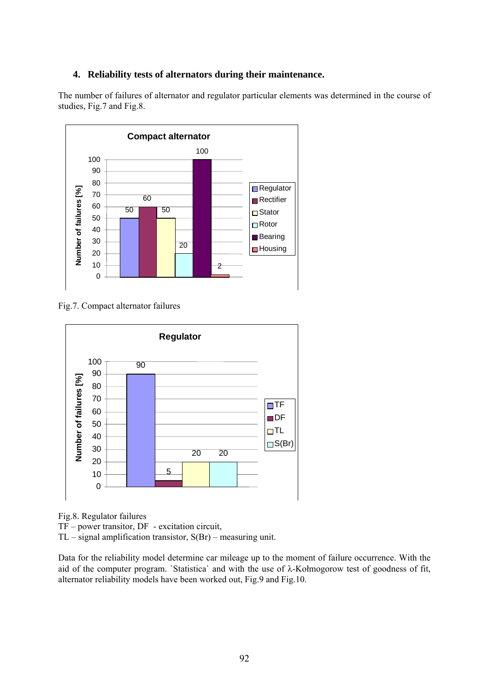#### **4. Reliability tests of alternators during their maintenance.**

The number of failures of alternator and regulator particular elements was determined in the course of studies, Fig.7 and Fig.8.



Fig.7. Compact alternator failures



Fig.8. Regulator failures

TF – power transitor, DF - excitation circuit,

TL – signal amplification transistor, S(Br) – measuring unit.

Data for the reliability model determine car mileage up to the moment of failure occurrence. With the aid of the computer program. `Statistica` and with the use of λ-Kołmogorow test of goodness of fit, alternator reliability models have been worked out, Fig.9 and Fig.10.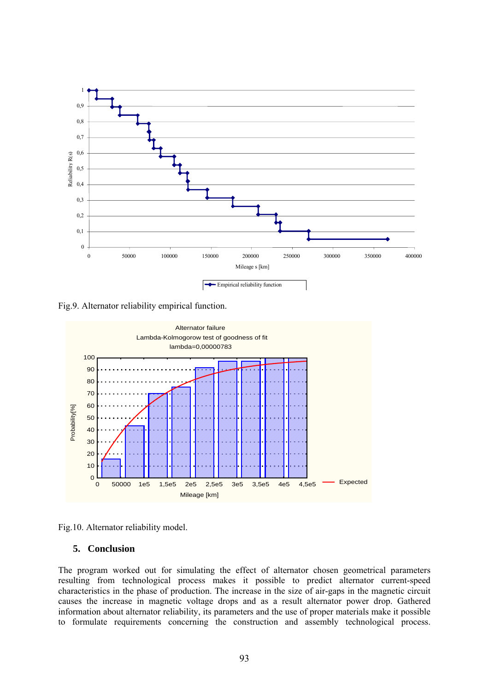

Fig.9. Alternator reliability empirical function.





#### **5. Conclusion**

The program worked out for simulating the effect of alternator chosen geometrical parameters resulting from technological process makes it possible to predict alternator current-speed characteristics in the phase of production. The increase in the size of air-gaps in the magnetic circuit causes the increase in magnetic voltage drops and as a result alternator power drop. Gathered information about alternator reliability, its parameters and the use of proper materials make it possible to formulate requirements concerning the construction and assembly technological process.